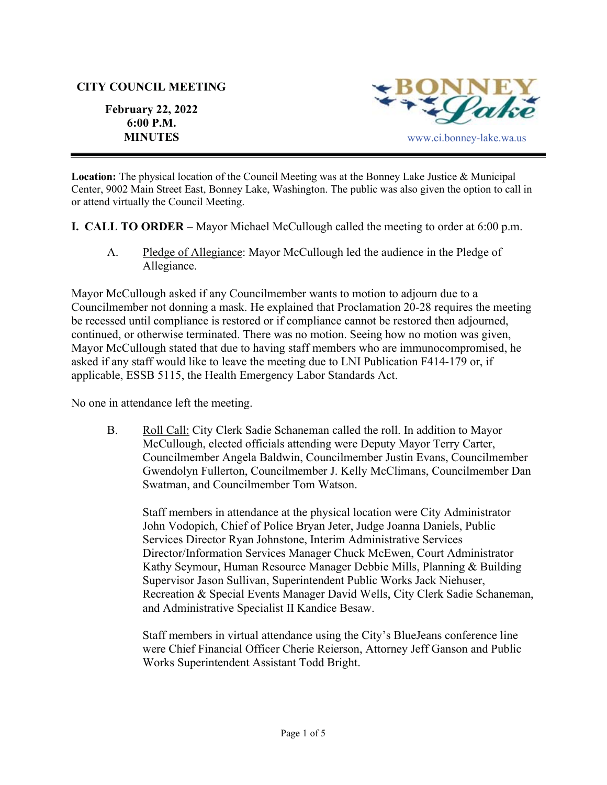#### **CITY COUNCIL MEETING**

**February 22, 2022 6:00 P.M.** 



**Location:** The physical location of the Council Meeting was at the Bonney Lake Justice & Municipal Center, 9002 Main Street East, Bonney Lake, Washington. The public was also given the option to call in or attend virtually the Council Meeting.

**I. CALL TO ORDER** – Mayor Michael McCullough called the meeting to order at 6:00 p.m.

A. Pledge of Allegiance: Mayor McCullough led the audience in the Pledge of Allegiance.

Mayor McCullough asked if any Councilmember wants to motion to adjourn due to a Councilmember not donning a mask. He explained that Proclamation 20-28 requires the meeting be recessed until compliance is restored or if compliance cannot be restored then adjourned, continued, or otherwise terminated. There was no motion. Seeing how no motion was given, Mayor McCullough stated that due to having staff members who are immunocompromised, he asked if any staff would like to leave the meeting due to LNI Publication F414-179 or, if applicable, ESSB 5115, the Health Emergency Labor Standards Act.

No one in attendance left the meeting.

B. Roll Call: City Clerk Sadie Schaneman called the roll. In addition to Mayor McCullough, elected officials attending were Deputy Mayor Terry Carter, Councilmember Angela Baldwin, Councilmember Justin Evans, Councilmember Gwendolyn Fullerton, Councilmember J. Kelly McClimans, Councilmember Dan Swatman, and Councilmember Tom Watson.

Staff members in attendance at the physical location were City Administrator John Vodopich, Chief of Police Bryan Jeter, Judge Joanna Daniels, Public Services Director Ryan Johnstone, Interim Administrative Services Director/Information Services Manager Chuck McEwen, Court Administrator Kathy Seymour, Human Resource Manager Debbie Mills, Planning & Building Supervisor Jason Sullivan, Superintendent Public Works Jack Niehuser, Recreation & Special Events Manager David Wells, City Clerk Sadie Schaneman, and Administrative Specialist II Kandice Besaw.

Staff members in virtual attendance using the City's BlueJeans conference line were Chief Financial Officer Cherie Reierson, Attorney Jeff Ganson and Public Works Superintendent Assistant Todd Bright.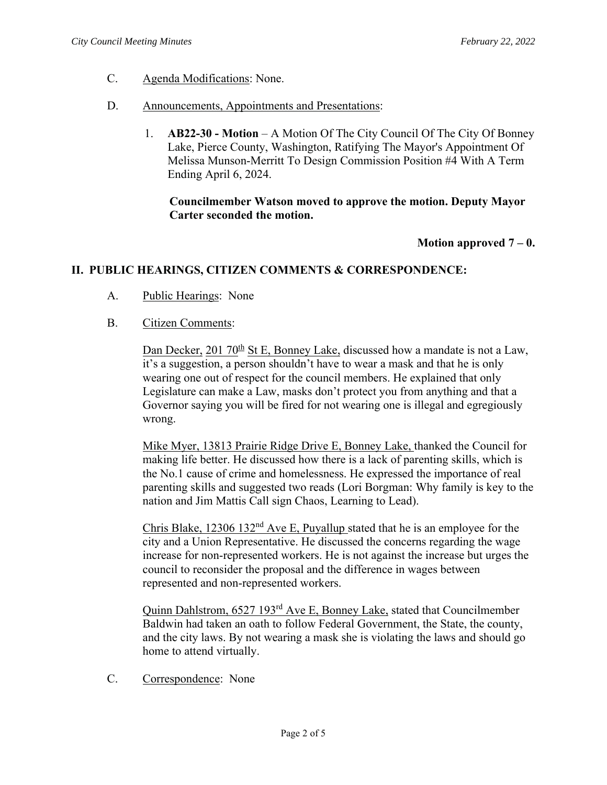- C. Agenda Modifications: None.
- D. Announcements, Appointments and Presentations:
	- 1. **AB22-30 Motion** A Motion Of The City Council Of The City Of Bonney Lake, Pierce County, Washington, Ratifying The Mayor's Appointment Of Melissa Munson-Merritt To Design Commission Position #4 With A Term Ending April 6, 2024.

**Councilmember Watson moved to approve the motion. Deputy Mayor Carter seconded the motion.**

**Motion approved 7 – 0.**

# **II. PUBLIC HEARINGS, CITIZEN COMMENTS & CORRESPONDENCE:**

- A. Public Hearings: None
- B. Citizen Comments:

Dan Decker, 201  $70<sup>th</sup>$  St E, Bonney Lake, discussed how a mandate is not a Law, it's a suggestion, a person shouldn't have to wear a mask and that he is only wearing one out of respect for the council members. He explained that only Legislature can make a Law, masks don't protect you from anything and that a Governor saying you will be fired for not wearing one is illegal and egregiously wrong.

Mike Myer, 13813 Prairie Ridge Drive E, Bonney Lake, thanked the Council for making life better. He discussed how there is a lack of parenting skills, which is the No.1 cause of crime and homelessness. He expressed the importance of real parenting skills and suggested two reads (Lori Borgman: Why family is key to the nation and Jim Mattis Call sign Chaos, Learning to Lead).

Chris Blake, 12306 132nd Ave E, Puyallup stated that he is an employee for the city and a Union Representative. He discussed the concerns regarding the wage increase for non-represented workers. He is not against the increase but urges the council to reconsider the proposal and the difference in wages between represented and non-represented workers.

Quinn Dahlstrom, 6527 193<sup>rd</sup> Ave E, Bonney Lake, stated that Councilmember Baldwin had taken an oath to follow Federal Government, the State, the county, and the city laws. By not wearing a mask she is violating the laws and should go home to attend virtually.

C. Correspondence: None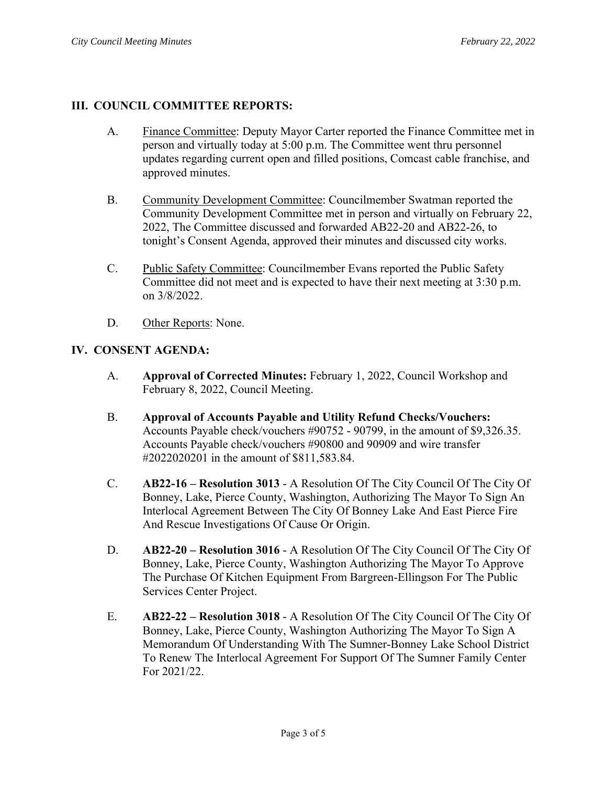# **III. COUNCIL COMMITTEE REPORTS:**

- A. Finance Committee: Deputy Mayor Carter reported the Finance Committee met in person and virtually today at 5:00 p.m. The Committee went thru personnel updates regarding current open and filled positions, Comcast cable franchise, and approved minutes.
- B. Community Development Committee: Councilmember Swatman reported the Community Development Committee met in person and virtually on February 22, 2022, The Committee discussed and forwarded AB22-20 and AB22-26, to tonight's Consent Agenda, approved their minutes and discussed city works.
- C. Public Safety Committee: Councilmember Evans reported the Public Safety Committee did not meet and is expected to have their next meeting at 3:30 p.m. on 3/8/2022.
- D. Other Reports: None.

# **IV. CONSENT AGENDA:**

- A. **Approval of Corrected Minutes:** February 1, 2022, Council Workshop and February 8, 2022, Council Meeting.
- B. **Approval of Accounts Payable and Utility Refund Checks/Vouchers:** Accounts Payable check/vouchers #90752 - 90799, in the amount of \$9,326.35. Accounts Payable check/vouchers #90800 and 90909 and wire transfer #2022020201 in the amount of \$811,583.84.
- C. **AB22-16 Resolution 3013** A Resolution Of The City Council Of The City Of Bonney, Lake, Pierce County, Washington, Authorizing The Mayor To Sign An Interlocal Agreement Between The City Of Bonney Lake And East Pierce Fire And Rescue Investigations Of Cause Or Origin.
- D. **AB22-20 Resolution 3016** A Resolution Of The City Council Of The City Of Bonney, Lake, Pierce County, Washington Authorizing The Mayor To Approve The Purchase Of Kitchen Equipment From Bargreen-Ellingson For The Public Services Center Project.
- E. **AB22-22 Resolution 3018** A Resolution Of The City Council Of The City Of Bonney, Lake, Pierce County, Washington Authorizing The Mayor To Sign A Memorandum Of Understanding With The Sumner-Bonney Lake School District To Renew The Interlocal Agreement For Support Of The Sumner Family Center For 2021/22.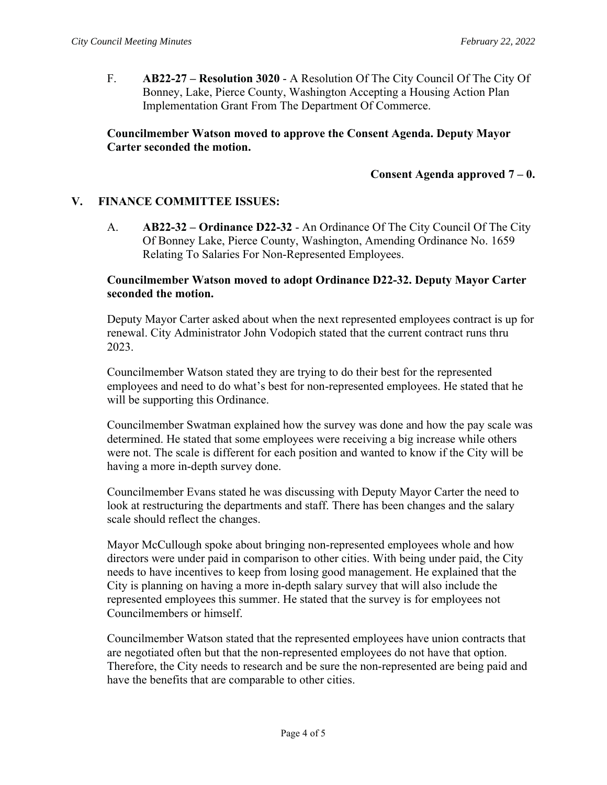F. **AB22-27 – Resolution 3020** - A Resolution Of The City Council Of The City Of Bonney, Lake, Pierce County, Washington Accepting a Housing Action Plan Implementation Grant From The Department Of Commerce.

# **Councilmember Watson moved to approve the Consent Agenda. Deputy Mayor Carter seconded the motion.**

### **Consent Agenda approved 7 – 0.**

### **V. FINANCE COMMITTEE ISSUES:**

A. **AB22-32 – Ordinance D22-32** - An Ordinance Of The City Council Of The City Of Bonney Lake, Pierce County, Washington, Amending Ordinance No. 1659 Relating To Salaries For Non-Represented Employees.

### **Councilmember Watson moved to adopt Ordinance D22-32. Deputy Mayor Carter seconded the motion.**

Deputy Mayor Carter asked about when the next represented employees contract is up for renewal. City Administrator John Vodopich stated that the current contract runs thru 2023.

Councilmember Watson stated they are trying to do their best for the represented employees and need to do what's best for non-represented employees. He stated that he will be supporting this Ordinance.

Councilmember Swatman explained how the survey was done and how the pay scale was determined. He stated that some employees were receiving a big increase while others were not. The scale is different for each position and wanted to know if the City will be having a more in-depth survey done.

Councilmember Evans stated he was discussing with Deputy Mayor Carter the need to look at restructuring the departments and staff. There has been changes and the salary scale should reflect the changes.

Mayor McCullough spoke about bringing non-represented employees whole and how directors were under paid in comparison to other cities. With being under paid, the City needs to have incentives to keep from losing good management. He explained that the City is planning on having a more in-depth salary survey that will also include the represented employees this summer. He stated that the survey is for employees not Councilmembers or himself.

Councilmember Watson stated that the represented employees have union contracts that are negotiated often but that the non-represented employees do not have that option. Therefore, the City needs to research and be sure the non-represented are being paid and have the benefits that are comparable to other cities.